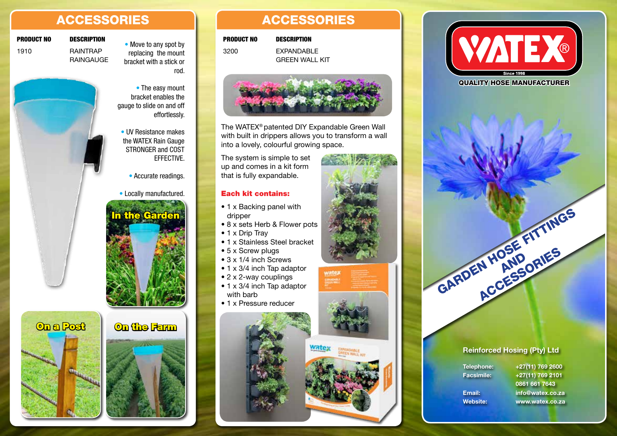# ACCESSORIES ACCESSORIES

**RAINGAUGE** 

## **PRODUCT NO DESCRIPTION** • Move to any spot by

1910 RAINTRAP

replacing the mount bracket with a stick or rod.

• The easy mount bracket enables the gauge to slide on and off effortlessly.

- UV Resistance makes the WATEX Rain Gauge STRONGER and COST **EFFECTIVE** 
	- Accurate readings.
- Locally manufactured.



On a Post On the Farm



3200 EXPANDABLE PRODUCT NO DESCRIPTION



**GREEN WALL KIT** 

The WATEX® patented DIY Expandable Green Wall with built in drippers allows you to transform a wall into a lovely, colourful growing space.

**Wate:** 

The system is simple to set up and comes in a kit form that is fully expandable.

#### Each kit contains:

- 1 x Backing panel with dripper
- 8 x sets Herb & Flower pots
- 1 x Drip Tray
- 1 x Stainless Steel bracket
- 5 x Screw plugs
- 3 x 1/4 inch Screws
- 1 x 3/4 inch Tap adaptor
- 2 x 2-way couplings
- 1 x 3/4 inch Tap adaptor with barb
- 1 x Pressure reducer





QUALITY HOSE MANUFACTURER



### Reinforced Hosing (Pty) Ltd

Telephone: +27(11) 769 2600 Facsimile: +27(11) 769 2101 0861 661 7643 Email: info@watex.co.za Website: www.watex.co.za